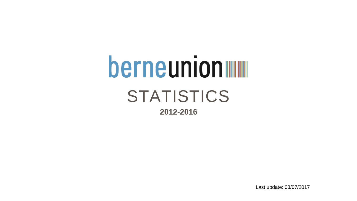# berneunion STATISTICS **2012-2016**

Last update: 03/07/2017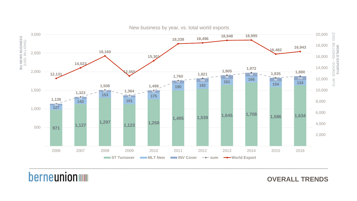### **OVERALL TRENDS**

**WORLD EXPORTS**<br>[USD, BILLIONS] – SOURCE: WTO [USD, BILLIONS] – **WORLD EXPORTS** SOURCE: WTO



New business by year, vs. total world exports

## **berneunion WWW**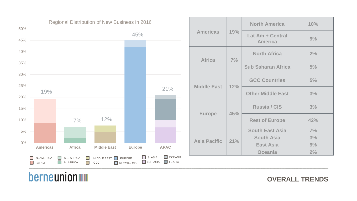### **OVERALL TRENDS**



| <b>North America</b>               | 10% |
|------------------------------------|-----|
| Lat Am + Central<br><b>America</b> | 9%  |
| <b>North Africa</b>                | 2%  |
| <b>Sub Saharan Africa</b>          | 5%  |
| <b>GCC Countries</b>               | 5%  |
| <b>Other Middle East</b>           | 3%  |
| <b>Russia / CIS</b>                | 3%  |
| <b>Rest of Europe</b>              | 42% |
| <b>South East Asia</b>             | 7%  |
| <b>South Asia</b>                  | 3%  |
| <b>East Asia</b>                   | 9%  |
| Oceania                            | 2%  |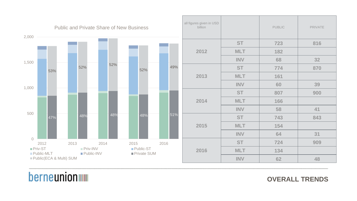### **OVERALL TRENDS**



| s given in USD<br>billion |            | <b>PUBLIC</b> | <b>PRIVATE</b> |
|---------------------------|------------|---------------|----------------|
|                           | <b>ST</b>  | 723           | 816            |
| 2012                      | <b>MLT</b> | 182           |                |
|                           | <b>INV</b> | 68            | 32             |
|                           | <b>ST</b>  | 774           | 870            |
| 2013                      | <b>MLT</b> | 161           |                |
|                           | <b>INV</b> | 60            | 39             |
|                           | <b>ST</b>  | 807           | 900            |
| 2014                      | <b>MLT</b> | 166           |                |
|                           | <b>INV</b> | 58            | 41             |
|                           | <b>ST</b>  | 743           | 843            |
| 2015                      | <b>MLT</b> | 154           |                |
|                           | <b>INV</b> | 64            | 31             |
|                           | <b>ST</b>  | 724           | 909            |
| 2016                      | <b>MLT</b> | 134           |                |
|                           | <b>INV</b> | 62            | 48             |
|                           |            |               |                |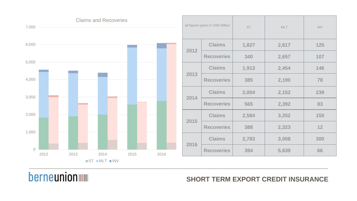### all figures given in USD Million  $\begin{array}{c|c} \text{S}^{\text{T}} & \text{S}^{\text{T}}\end{array}$ **2012 Claims 1,827 2,617 125 Recoveries** 340 **2013 Claims 1,91 Recoveries** 38 **2014 Claims** 2,00 **Recoveries** 56 **2015 Claims 2,584 3,252 150 Recoveries** 388 **2016 Claims 2,783 3,008 300 Recoveries 394 5,639 66** <sup>0</sup> 1,000 2,000 3,000 4,000 5,000 6,000 7,000 2012 2013 2014 2015 2016 Claims and Recoveries  $S$ T  $MLT$   $N$

## berneunion

### **SHORT TERM EXPORT CREDIT INSURANCE**

|                         | MLT   | $\textsf{INV}$ |
|-------------------------|-------|----------------|
| 27                      | 2,617 | 125            |
| $\overline{\mathbf{0}}$ | 2,657 | 107            |
| 13                      | 2,454 | 146            |
| 5                       | 2,190 | 78             |
| $\overline{)4}$         | 2,152 | 239            |
| 5                       | 2,392 | 83             |
| 34                      | 3,252 | 150            |
| 8                       | 2,323 | 12             |
| 33                      | 3,008 | 300            |
| 4                       | 5,639 | 66             |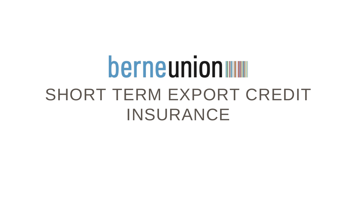# berneunion SHORT TERM EXPORT CREDIT INSURANCE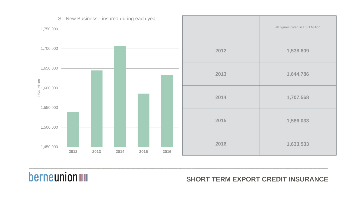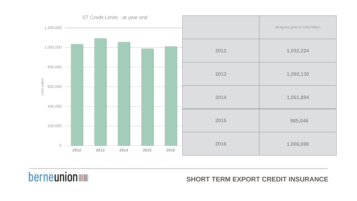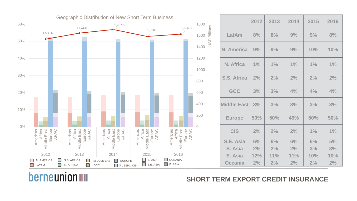|                | 2012  | 2013 | 2014 | 2015  | 2016  |
|----------------|-------|------|------|-------|-------|
| .atAm          | 8%    | 8%   | 9%   | 9%    | 8%    |
| <b>America</b> | 9%    | 9%   | 9%   | 10%   | 10%   |
| <b>Africa</b>  | 1%    | 1%   | 1%   | $1\%$ | 1%    |
| S. Africa      | 2%    | 2%   | 2%   | 2%    | 2%    |
| GCC            | 3%    | 3%   | 4%   | 4%    | 4%    |
| dle East       | 3%    | 3%   | 3%   | 3%    | 3%    |
| urope          | 50%   | 50%  | 49%  | 50%   | 50%   |
| <b>CIS</b>     | 2%    | 2%   | 2%   | 1%    | $1\%$ |
| E. Asia        | 6%    | 6%   | 6%   | 6%    | 5%    |
| i. Asia        | $2\%$ | 2%   | 2%   | 3%    | 3%    |
| ∴ Asia         | 12%   | 11%  | 11%  | 10%   | 10%   |
| ceania         | 2%    | 2%   | 2%   | 2%    | 2%    |
|                |       |      |      |       |       |

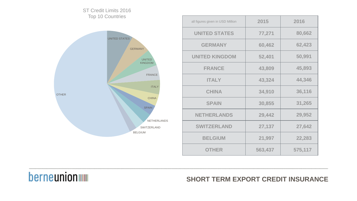| 2015    | 2016    |
|---------|---------|
| 77,271  | 80,662  |
| 60,462  | 62,423  |
| 52,401  | 50,991  |
| 43,809  | 45,893  |
| 43,324  | 44,346  |
| 34,910  | 36,116  |
| 30,855  | 31,265  |
| 29,442  | 29,952  |
| 27,137  | 27,642  |
| 21,997  | 22,283  |
| 563,437 | 575,117 |



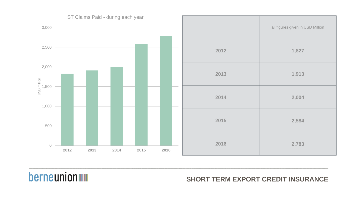

| all figures given in USD Million |
|----------------------------------|
| 1,827                            |
| 1,913                            |
| 2,004                            |
| 2,584                            |
| 2,783                            |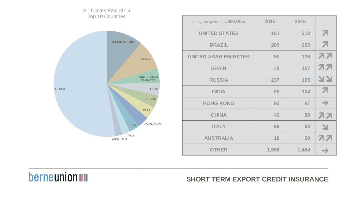| 2015  | 2016  |               |
|-------|-------|---------------|
| 161   | 312   | 7             |
| 205   | 253   | 7             |
| 50    | 126   | オオ            |
| 40    | 107   | 77            |
| 237   | 105   | <b>N.A.</b>   |
| 85    | 104   | 7             |
| 92    | 97    | $\rightarrow$ |
| 42    | 88    | オオ            |
| 98    | 68    | 실             |
| 18    | 60    | オオ            |
| 1,556 | 1,464 | $\rightarrow$ |



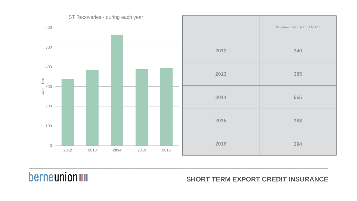

| all figures given in USD Million |
|----------------------------------|
| 340                              |
| 385                              |
| 565                              |
| 388                              |
| 394                              |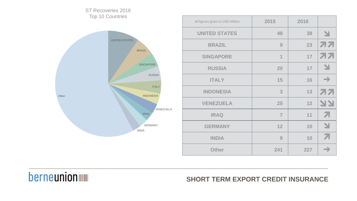| 2015           | 2016 |               |
|----------------|------|---------------|
| 48             | 38   | 习             |
| 9              | 23   | オオ            |
| 1              | 17   | オオ            |
| 20             | 17   | 실             |
| 15             | 16   | $\rightarrow$ |
| 3              | 13   | オオ            |
| 25             | 12   | <b>AR</b>     |
| $\overline{7}$ | 11   | 7             |
| 12             | 10   | 习             |
| 9              | 10   | 7             |
| 241            | 227  | $\rightarrow$ |

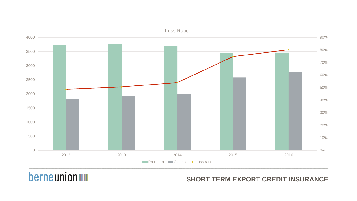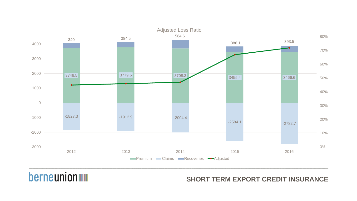| 393.5     |       |
|-----------|-------|
|           | 70%   |
|           | 60%   |
| 3466.6    | 50%   |
|           | 40%   |
|           | 30%   |
| $-2782.7$ | 20%   |
|           | 10%   |
|           | $0\%$ |
| 2016      |       |



## **berneunion**

80%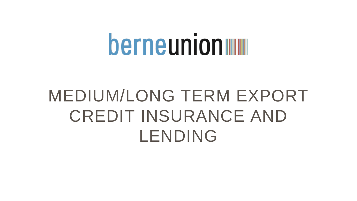# berneunion

# MEDIUM/LONG TERM EXPORT CREDIT INSURANCE AND LENDING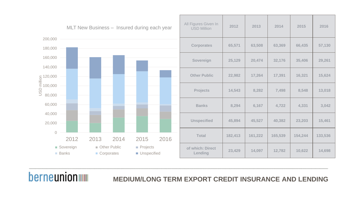

| gures Given In<br><b>SD Million</b> | 2012    | 2013    | 2014    | 2015    | 2016    |
|-------------------------------------|---------|---------|---------|---------|---------|
| <b>corporates</b>                   | 65,571  | 63,508  | 63,369  | 66,435  | 57,130  |
| <b>Sovereign</b>                    | 25,129  | 20,474  | 32,176  | 35,406  | 29,261  |
| ther Public                         | 22,982  | 17,264  | 17,391  | 16,321  | 15,624  |
| <b>Projects</b>                     | 14,543  | 8,282   | 7,498   | 8,548   | 13,018  |
| <b>Banks</b>                        | 8,294   | 6,167   | 4,722   | 4,331   | 3,042   |
| <b>nspecified</b>                   | 45,894  | 45,527  | 40,382  | 23,203  | 15,461  |
| <b>Total</b>                        | 182,413 | 161,222 | 165,539 | 154,244 | 133,536 |
| hich: Direct<br>Lending             | 23,429  | 14,097  | 12,782  | 10,622  | 14,698  |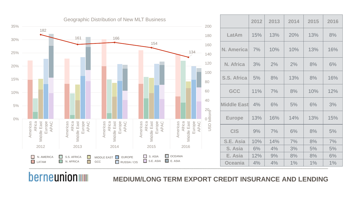

**berneunion WWW** 

| 2012           | 2013 | 2014 | 2015  | 2016 |
|----------------|------|------|-------|------|
| 15%            | 13%  | 20%  | 13%   | 8%   |
| 7%             | 10%  | 10%  | 13%   | 16%  |
| 3%             | 2%   | 2%   | 8%    | 6%   |
| 5%             | 8%   | 13%  | 8%    | 16%  |
| 11%            | 7%   | 8%   | 10%   | 12%  |
| dle East<br>4% | 6%   | 5%   | 6%    | 3%   |
| 13%            | 16%  | 14%  | 13%   | 15%  |
| 9%             | 7%   | 6%   | 8%    | 5%   |
| 10%            | 14%  | 7%   | 8%    | 7%   |
| 6%             | 4%   | 3%   | 5%    | 5%   |
| 12%            | 9%   | 8%   | 8%    | 6%   |
| 4%             | 4%   | 1%   | $1\%$ | 1%   |
|                |      |      |       |      |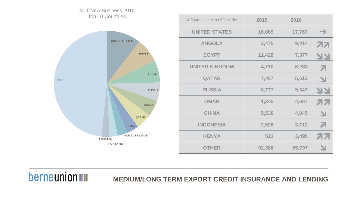| 2015   | 2016   |                          |
|--------|--------|--------------------------|
| 16,089 | 17,763 | $\rightarrow$            |
| 3,475  | 9,414  | 77                       |
| 11,428 | 7,377  | 77                       |
| 4,710  | 6,288  | 71                       |
| 7,457  | 5,613  | N                        |
| 8,777  | 5,347  | צצ                       |
| 1,346  | 4,687  | オオ                       |
| 5,538  | 4,045  | N                        |
| 2,526  | 3,712  | 71                       |
| 513    | 3,495  | 7171                     |
| 92,386 | 65,797 | $\overline{\mathcal{L}}$ |

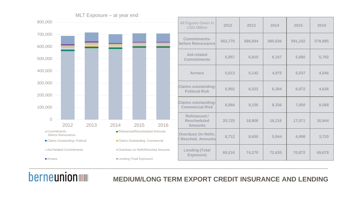

## **berneunion WWW**

| Figures Given In<br><b>USD Million</b>               | 2012    | 2013    | 2014    | 2015    | 2016    |
|------------------------------------------------------|---------|---------|---------|---------|---------|
| <b>Commitments-</b><br>fore Reinsurance              | 562,770 | 586,694 | 580,836 | 591,152 | 578,885 |
| <b>Aid-related</b><br><b>Commitments</b>             | 5,857   | 6,810   | 6,107   | 5,680   | 5,792   |
| <b>Arrears</b>                                       | 5,613   | 5,142   | 4,975   | 5,037   | 4,046   |
| ims outstanding:<br><b>Political Risk</b>            | 5,902   | 6,522   | 6,304   | 6,872   | 4,626   |
| ims outstanding:<br><b>ommercial Risk</b>            | 8,884   | 9,155   | 8,336   | 7,050   | 8,088   |
| Refinanced /<br><b>Rescheduled</b><br><b>Amounts</b> | 20,725  | 18,808  | 16,216  | 17,071  | 16,944  |
| erdues On Refin.<br>esched. Amounts                  | 8,712   | 8,650   | 5,944   | 4,998   | 3,720   |
| <b>Lending (Total</b><br><b>Exposure)</b>            | 69,216  | 74,270  | 72,635  | 70,872  | 69,678  |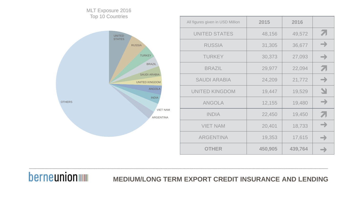

| 2015    | 2016    |                          |
|---------|---------|--------------------------|
| 48,156  | 49,572  | 71                       |
| 31,305  | 36,677  | $\rightarrow$            |
| 30,373  | 27,093  | $\rightarrow$            |
| 29,977  | 22,094  | 71                       |
| 24,209  | 21,772  | $\rightarrow$            |
| 19,447  | 19,529  | $\overline{\mathcal{L}}$ |
| 12,155  | 19,480  | $\rightarrow$            |
| 22,450  | 19,450  | 71                       |
| 20,401  | 18,733  | →                        |
| 19,353  | 17,615  | $\rightarrow$            |
| 450,905 | 439,764 | $\rightarrow$            |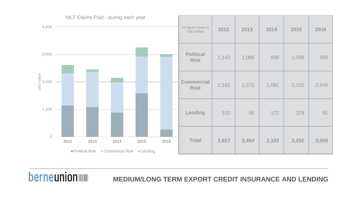

| All figures given in<br><b>USD Million</b> | 2012  | 2013  | 2014  | 2015  | 2016  |
|--------------------------------------------|-------|-------|-------|-------|-------|
| <b>Political</b><br><b>Risk</b>            | 1,142 | 1,086 | 888   | 1,588 | 269   |
| <b>Commercial</b><br><b>Risk</b>           | 1,165 | 1,272 | 1,091 | 1,335 | 2,649 |
| Lending                                    | 310   | 96    | 172   | 329   | 91    |
| <b>Total</b>                               | 2,617 | 2,454 | 2,152 | 3,252 | 3,008 |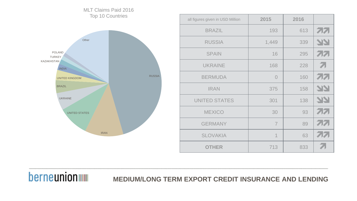| 2015                     | 2016 |           |
|--------------------------|------|-----------|
| 193                      | 613  | 77        |
| 1,449                    | 339  | <b>AR</b> |
| 16                       | 295  | 77        |
| 168                      | 228  | 7         |
| $\overline{O}$           | 160  | 77        |
| 375                      | 158  | 77        |
| 301                      | 138  | <b>AR</b> |
| 30                       | 93   | 77        |
| $\overline{7}$           | 89   | 77        |
| $\overline{\mathcal{L}}$ | 63   | オオ        |
| 713                      | 833  | 7         |

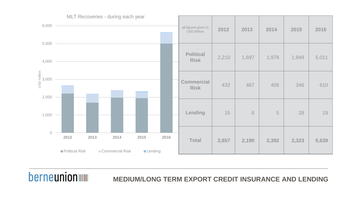

| all figures given in<br><b>USD Million</b> | 2012  | 2013  | 2014  | 2015  | 2016  |
|--------------------------------------------|-------|-------|-------|-------|-------|
| <b>Political</b><br><b>Risk</b>            | 2,210 | 1,697 | 1,978 | 1,949 | 5,011 |
| <b>Commercial</b><br><b>Risk</b>           | 432   | 487   | 409   | 346   | 610   |
| Lending                                    | 15    | 6     | 5     | 28    | 19    |
| <b>Total</b>                               | 2,657 | 2,190 | 2,392 | 2,323 | 5,639 |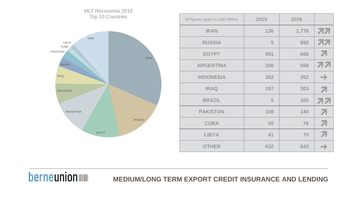

MLT Recoveries 2016

| 2015 | 2016  |                |
|------|-------|----------------|
| 136  | 1,776 | 77             |
| 5    | 850   | 77             |
| 591  | 666   | 71             |
| 206  | 598   | オオ             |
| 352  | 352   | $\rightarrow$  |
| 197  | 303   | $\overline{Z}$ |
| 5    | 165   | オオ             |
| 108  | 140   | 71             |
| 50   | 76    | 71             |
| 41   | 70    | 71             |
| 632  | 643   | →              |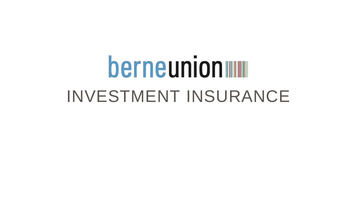# berneunion INVESTMENT INSURANCE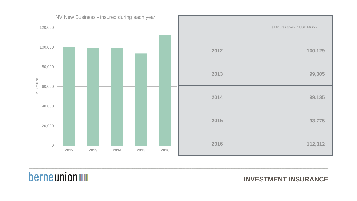

|      | all figures given in USD Million |
|------|----------------------------------|
| 2012 | 100,129                          |
| 2013 | 99,305                           |
| 2014 | 99,135                           |
| 2015 | 93,775                           |
| 2016 | 112,812                          |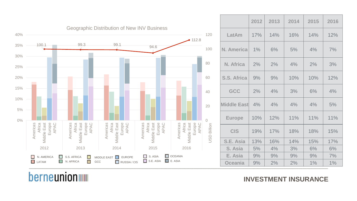|                | 2012 | 2013 | 2014 | 2015 | 2016 |
|----------------|------|------|------|------|------|
| .atAm          | 17%  | 14%  | 16%  | 14%  | 12%  |
| <b>America</b> | 1%   | 6%   | 5%   | 4%   | 7%   |
| <b>Africa</b>  | 2%   | 2%   | 4%   | 2%   | 3%   |
| S. Africa      | 9%   | 9%   | 10%  | 10%  | 12%  |
| GCC            | 2%   | 4%   | 3%   | 6%   | 4%   |
| dle East       | 4%   | 4%   | 4%   | 4%   | 5%   |
| urope          | 10%  | 12%  | 11%  | 11%  | 11%  |
| <b>CIS</b>     | 19%  | 17%  | 18%  | 18%  | 15%  |
| E. Asia        | 13%  | 16%  | 14%  | 15%  | 17%  |
| i. Asia        | 5%   | 4%   | 3%   | 6%   | 6%   |
| ∴ Asia         | 9%   | 9%   | 9%   | 9%   | 7%   |
| ceania         | 9%   | 2%   | 2%   | 1%   | 1%   |



## **berneunion WWW**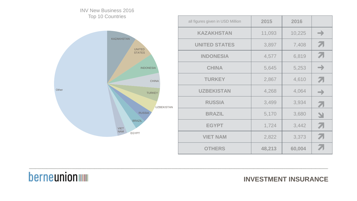| 2015   | 2016   |               |
|--------|--------|---------------|
| 11,093 | 10,225 | $\rightarrow$ |
| 3,897  | 7,408  | 71            |
| 4,577  | 6,819  | 71            |
| 5,645  | 5,253  | $\rightarrow$ |
| 2,867  | 4,610  | 71            |
| 4,268  | 4,064  | $\rightarrow$ |
| 3,499  | 3,934  | 7             |
| 5,170  | 3,680  | N             |
| 1,724  | 3,442  | 71            |
| 2,822  | 3,373  | 71            |
| 48,213 | 60,004 | 7             |

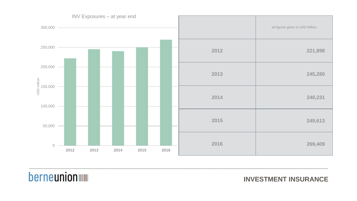|      | all figures given in USD Million |
|------|----------------------------------|
| 2012 | 221,898                          |
| 2013 | 245,280                          |
| 2014 | 240,231                          |
| 2015 | 249,613                          |
| 2016 | 269,409                          |

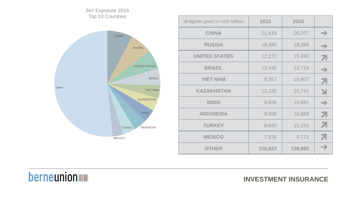| 2015    | 2016    |               |
|---------|---------|---------------|
| 21,419  | 20,707  | $\rightarrow$ |
| 19,480  | 18,368  | $\rightarrow$ |
| 12,272  | 15,690  | A             |
| 12,435  | 13,719  | →             |
| 9,257   | 10,807  | 7             |
| 12,335  | 10,741  | N             |
| 9,626   | 10,691  | $\rightarrow$ |
| 9,500   | 10,658  | 71            |
| 8,640   | 10,316  | 71            |
| 7,826   | 8,721   | 71            |
| 126,823 | 138,992 | —             |



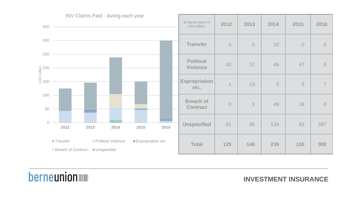

| all figures given in<br><b>USD Million</b> | 2012                     | 2013                     | 2014      | 2015           | 2016           |
|--------------------------------------------|--------------------------|--------------------------|-----------|----------------|----------------|
| <b>Transfer</b>                            | $\overline{O}$           | $\overline{0}$           | 10        | $\overline{0}$ | $\overline{0}$ |
| <b>Political</b><br><b>Violence</b>        | 43                       | 37                       | 46        | 47             | 6              |
| xpropriation<br>etc.                       | $\overline{\mathcal{L}}$ | 13                       | $\bigcap$ | 5              | $\overline{7}$ |
| <b>Breach of</b><br><b>Contract</b>        | $\bigcap$                | $\overline{\mathcal{L}}$ | 49        | 16             | $\bigcap$      |
| <b>Unspecified</b>                         | 81                       | 95                       | 134       | 82             | 287            |
| <b>Total</b>                               | 125                      | 146                      | 239       | 150            | 300            |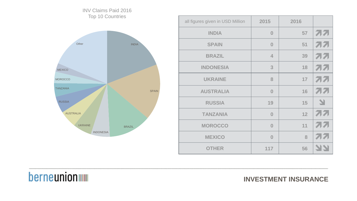| 2015                    | 2016 |           |
|-------------------------|------|-----------|
| $\bf{0}$                | 57   | オオ        |
| $\bf{0}$                | 51   | オオ        |
| $\overline{\mathbf{4}}$ | 39   | オオ        |
| 3                       | 18   | 77        |
| 8                       | 17   | 77        |
| $\overline{0}$          | 16   | オオ        |
| 19                      | 15   | N         |
| $\bf{0}$                | 12   | オオ        |
| $\bf{0}$                | 11   | オオ        |
| $\overline{0}$          | 8    | 77        |
| 117                     | 56   | <b>NA</b> |

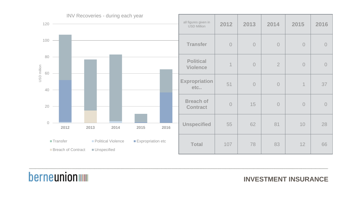

| all figures given in<br><b>USD Million</b> | 2012                     | 2013       | 2014           | 2015       | 2016 |
|--------------------------------------------|--------------------------|------------|----------------|------------|------|
| <b>Transfer</b>                            | $\overline{0}$           | $\bigcirc$ | $\overline{0}$ | $\bigcirc$ |      |
| <b>Political</b><br><b>Violence</b>        | $\overline{\mathcal{L}}$ | $\bigcirc$ | $\overline{2}$ | $\bigcap$  |      |
| xpropriation<br>etc                        | 51                       | $\bigcap$  | $\bigcirc$     | 1          | 37   |
| <b>Breach of</b><br><b>Contract</b>        | $\overline{0}$           | 15         | $\overline{O}$ | $\bigcirc$ |      |
| <b>Unspecified</b>                         | 55                       | 62         | 81             | 10         | 28   |
| <b>Total</b>                               | 107                      | 78         | 83             | 12         | 66   |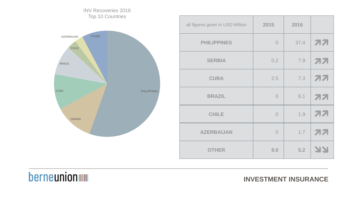| 2015           | 2016 |           |
|----------------|------|-----------|
| $\overline{O}$ | 37.4 | <b>77</b> |
| 0.2            | 7.9  | <b>77</b> |
| 2.5            | 7.3  | <b>77</b> |
| $\overline{O}$ | 6.1  | <b>77</b> |
| $\overline{O}$ | 1.9  | オオ        |
| $\overline{0}$ | 1.7  | オオ        |
| 9.0            | 5.2  | 77        |